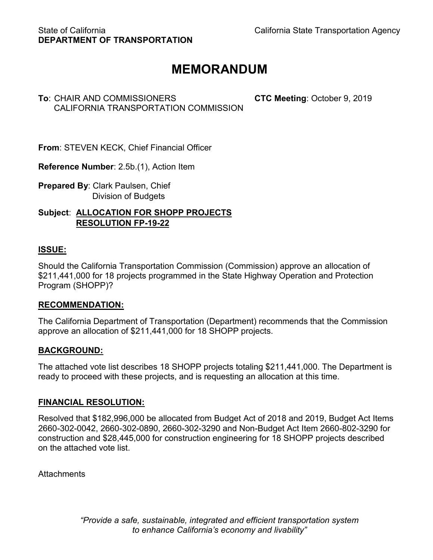# **MEMORANDUM**

## **To**: CHAIR AND COMMISSIONERS **CTC Meeting**: October 9, 2019 CALIFORNIA TRANSPORTATION COMMISSION

**From**: STEVEN KECK, Chief Financial Officer

**Reference Number**: 2.5b.(1), Action Item

**Prepared By**: Clark Paulsen, Chief Division of Budgets

**Subject**: **ALLOCATION FOR SHOPP PROJECTS RESOLUTION FP-19-22** 

### **ISSUE:**

 Should the California Transportation Commission (Commission) approve an allocation of \$211,441,000 for 18 projects programmed in the State Highway Operation and Protection Program (SHOPP)?

#### **RECOMMENDATION:**

The California Department of Transportation (Department) recommends that the Commission approve an allocation of \$211,441,000 for 18 SHOPP projects.

## **BACKGROUND:**

The attached vote list describes 18 SHOPP projects totaling \$211,441,000. The Department is ready to proceed with these projects, and is requesting an allocation at this time.

#### **FINANCIAL RESOLUTION:**

 Resolved that \$182,996,000 be allocated from Budget Act of 2018 and 2019, Budget Act Items 2660-302-0042, 2660-302-0890, 2660-302-3290 and Non-Budget Act Item 2660-802-3290 for construction and \$28,445,000 for construction engineering for 18 SHOPP projects described on the attached vote list.

**Attachments** 

 *"Provide a safe, sustainable, integrated and efficient transportation system to enhance California's economy and livability"*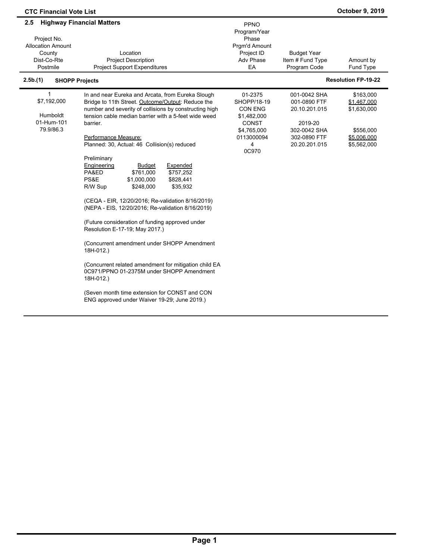| 2.5<br>Project No.<br><b>Allocation Amount</b><br>County<br>Dist-Co-Rte<br>Postmile<br>2.5b(1)<br><b>SHOPP Projects</b> | <b>Highway Financial Matters</b><br>Location<br><b>Project Description</b><br><b>Project Support Expenditures</b>                                                                                                                                                                                                                                                | PPNO<br>Program/Year<br>Phase<br>Prgm'd Amount<br>Project ID<br>Adv Phase<br>EA                                    | <b>Budget Year</b><br>Item # Fund Type<br>Program Code                                                    | Amount by<br>Fund Type<br><b>Resolution FP-19-22</b>                               |
|-------------------------------------------------------------------------------------------------------------------------|------------------------------------------------------------------------------------------------------------------------------------------------------------------------------------------------------------------------------------------------------------------------------------------------------------------------------------------------------------------|--------------------------------------------------------------------------------------------------------------------|-----------------------------------------------------------------------------------------------------------|------------------------------------------------------------------------------------|
| \$7,192,000<br>Humboldt<br>01-Hum-101<br>79.9/86.3                                                                      | In and near Eureka and Arcata, from Eureka Slough<br>Bridge to 11th Street. Outcome/Output: Reduce the<br>number and severity of collisions by constructing high<br>tension cable median barrier with a 5-feet wide weed<br>barrier.<br>Performance Measure:<br>Planned: 30, Actual: 46 Collision(s) reduced<br>Preliminary<br>Expended<br>Engineering<br>Budget | 01-2375<br>SHOPP/18-19<br><b>CON ENG</b><br>\$1,482,000<br><b>CONST</b><br>\$4.765.000<br>0113000094<br>4<br>0C970 | 001-0042 SHA<br>001-0890 FTF<br>20.10.201.015<br>2019-20<br>302-0042 SHA<br>302-0890 FTF<br>20.20.201.015 | \$163,000<br>\$1,467,000<br>\$1,630,000<br>\$556,000<br>\$5,006,000<br>\$5,562,000 |
|                                                                                                                         | PA&ED<br>\$761,000<br>\$757,252<br>PS&E<br>\$1,000,000<br>\$828,441<br>\$248.000<br>R/W Sup<br>\$35,932<br>(CEQA - EIR, 12/20/2016; Re-validation 8/16/2019)<br>(NEPA - EIS, 12/20/2016; Re-validation 8/16/2019)<br>(Future consideration of funding approved under<br>Resolution E-17-19; May 2017.)                                                           |                                                                                                                    |                                                                                                           |                                                                                    |

(Concurrent amendment under SHOPP Amendment 18H-012.)

(Concurrent related amendment for mitigation child EA 0C971/PPNO 01-2375M under SHOPP Amendment 18H-012.)

(Seven month time extension for CONST and CON ENG approved under Waiver 19-29; June 2019.)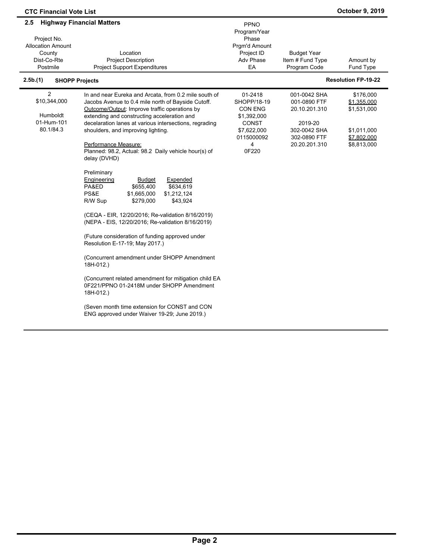| 2.5<br>Project No.<br><b>Allocation Amount</b><br>County<br>Dist-Co-Rte<br>Postmile | <b>Highway Financial Matters</b><br>Location<br><b>Project Description</b><br><b>Project Support Expenditures</b>                                                                                                                                                                                                                                                                                                                                                                                                                                                                                                                                                                                                                                                                                                                                                                                                                                                                                                                                                  | <b>PPNO</b><br>Program/Year<br>Phase<br>Prgm'd Amount<br>Project ID<br><b>Adv Phase</b><br>EA                      | <b>Budget Year</b><br>Item # Fund Type<br>Program Code                                                    | Amount by<br>Fund Type                                                               |
|-------------------------------------------------------------------------------------|--------------------------------------------------------------------------------------------------------------------------------------------------------------------------------------------------------------------------------------------------------------------------------------------------------------------------------------------------------------------------------------------------------------------------------------------------------------------------------------------------------------------------------------------------------------------------------------------------------------------------------------------------------------------------------------------------------------------------------------------------------------------------------------------------------------------------------------------------------------------------------------------------------------------------------------------------------------------------------------------------------------------------------------------------------------------|--------------------------------------------------------------------------------------------------------------------|-----------------------------------------------------------------------------------------------------------|--------------------------------------------------------------------------------------|
| 2.5b.(1)<br><b>SHOPP Projects</b>                                                   |                                                                                                                                                                                                                                                                                                                                                                                                                                                                                                                                                                                                                                                                                                                                                                                                                                                                                                                                                                                                                                                                    |                                                                                                                    |                                                                                                           | <b>Resolution FP-19-22</b>                                                           |
| $\overline{2}$<br>\$10,344,000<br>Humboldt<br>01-Hum-101<br>80.1/84.3               | In and near Eureka and Arcata, from 0.2 mile south of<br>Jacobs Avenue to 0.4 mile north of Bayside Cutoff.<br>Outcome/Output: Improve traffic operations by<br>extending and constructing acceleration and<br>decelaration lanes at various intersections, regrading<br>shoulders, and improving lighting.<br>Performance Measure:<br>Planned: 98.2, Actual: 98.2 Daily vehicle hour(s) of<br>delay (DVHD)<br>Preliminary<br><b>Budget</b><br>Expended<br>Engineering<br>\$634,619<br>PA&ED<br>\$655,400<br>PS&E<br>\$1,665,000<br>\$1,212,124<br>\$279,000<br>\$43,924<br>R/W Sup<br>(CEQA - EIR, 12/20/2016; Re-validation 8/16/2019)<br>(NEPA - EIS, 12/20/2016; Re-validation 8/16/2019)<br>(Future consideration of funding approved under<br>Resolution E-17-19; May 2017.)<br>(Concurrent amendment under SHOPP Amendment<br>18H-012.)<br>(Concurrent related amendment for mitigation child EA<br>0F221/PPNO 01-2418M under SHOPP Amendment<br>18H-012.)<br>(Seven month time extension for CONST and CON<br>ENG approved under Waiver 19-29; June 2019.) | 01-2418<br>SHOPP/18-19<br><b>CON ENG</b><br>\$1,392,000<br><b>CONST</b><br>\$7,622,000<br>0115000092<br>4<br>0F220 | 001-0042 SHA<br>001-0890 FTF<br>20.10.201.310<br>2019-20<br>302-0042 SHA<br>302-0890 FTF<br>20.20.201.310 | \$176,000<br>\$1,355,000<br>\$1,531,000<br>\$1,011,000<br>\$7,802,000<br>\$8,813,000 |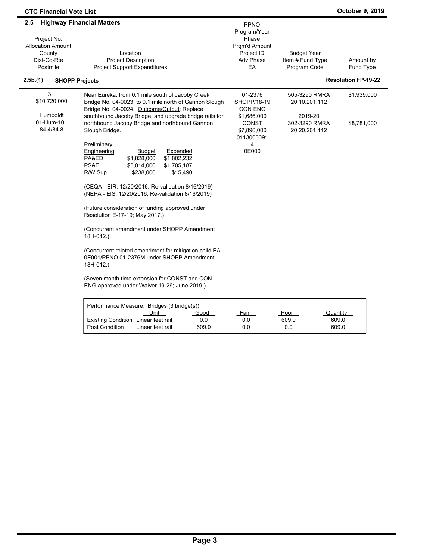| 2.5                                                                          | <b>Highway Financial Matters</b>                                                                                                                                                                                                                                                                                                                                                                                                                                                                                                                                                                                                                                                                                                                                                                                          | PPNO                                                                                                 |                                                                             |                            |
|------------------------------------------------------------------------------|---------------------------------------------------------------------------------------------------------------------------------------------------------------------------------------------------------------------------------------------------------------------------------------------------------------------------------------------------------------------------------------------------------------------------------------------------------------------------------------------------------------------------------------------------------------------------------------------------------------------------------------------------------------------------------------------------------------------------------------------------------------------------------------------------------------------------|------------------------------------------------------------------------------------------------------|-----------------------------------------------------------------------------|----------------------------|
| Project No.<br><b>Allocation Amount</b><br>County<br>Dist-Co-Rte<br>Postmile | Location<br><b>Project Description</b><br><b>Project Support Expenditures</b>                                                                                                                                                                                                                                                                                                                                                                                                                                                                                                                                                                                                                                                                                                                                             | Program/Year<br>Phase<br>Prgm'd Amount<br>Project ID<br><b>Adv Phase</b><br>EA                       | <b>Budget Year</b><br>Item # Fund Type<br>Program Code                      | Amount by<br>Fund Type     |
| 2.5b.(1)                                                                     | <b>SHOPP Projects</b>                                                                                                                                                                                                                                                                                                                                                                                                                                                                                                                                                                                                                                                                                                                                                                                                     |                                                                                                      |                                                                             | <b>Resolution FP-19-22</b> |
| 3<br>\$10,720,000<br>Humboldt<br>01-Hum-101<br>84.4/84.8                     | Near Eureka, from 0.1 mile south of Jacoby Creek<br>Bridge No. 04-0023 to 0.1 mile north of Gannon Slough<br>Bridge No. 04-0024. Outcome/Output: Replace<br>southbound Jacoby Bridge, and upgrade bridge rails for<br>northbound Jacoby Bridge and northbound Gannon<br>Slough Bridge.                                                                                                                                                                                                                                                                                                                                                                                                                                                                                                                                    | 01-2376<br>SHOPP/18-19<br><b>CON ENG</b><br>\$1,686,000<br><b>CONST</b><br>\$7,896,000<br>0113000091 | 505-3290 RMRA<br>20.10.201.112<br>2019-20<br>302-3290 RMRA<br>20.20.201.112 | \$1,939,000<br>\$8,781,000 |
|                                                                              | Preliminary<br>Expended<br>Engineering<br><b>Budget</b><br>PA&ED<br>\$1,828,000<br>\$1,802,232<br>PS&E<br>\$3,014,000<br>\$1,705,187<br>\$238,000<br>\$15,490<br>R/W Sup<br>(CEQA - EIR, 12/20/2016; Re-validation 8/16/2019)<br>(NEPA - EIS, 12/20/2016; Re-validation 8/16/2019)<br>(Future consideration of funding approved under<br>Resolution E-17-19; May 2017.)<br>(Concurrent amendment under SHOPP Amendment<br>18H-012.)<br>(Concurrent related amendment for mitigation child EA<br>0E001/PPNO 01-2376M under SHOPP Amendment<br>18H-012.)<br>(Seven month time extension for CONST and CON<br>ENG approved under Waiver 19-29; June 2019.)<br>Performance Measure: Bridges (3 bridge(s))<br>Unit<br>Good<br>Existing Condition Linear feet rail<br>0.0<br><b>Post Condition</b><br>Linear feet rail<br>609.0 | 4<br>0E000<br>Fair<br>0.0<br>0.0                                                                     | Poor<br>Quantity<br>609.0<br>0.0<br>609.0                                   | 609.0                      |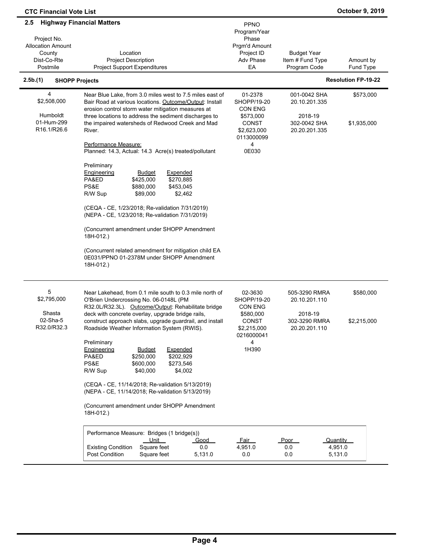| <b>CTC Financial Vote List</b>                                                                   |                                                                                                                                                                                                                                                                                                                                                                                                                                                                                                                                                                                                                                                                |                                                                                                    |                                                                             | October 9, 2019                |
|--------------------------------------------------------------------------------------------------|----------------------------------------------------------------------------------------------------------------------------------------------------------------------------------------------------------------------------------------------------------------------------------------------------------------------------------------------------------------------------------------------------------------------------------------------------------------------------------------------------------------------------------------------------------------------------------------------------------------------------------------------------------------|----------------------------------------------------------------------------------------------------|-----------------------------------------------------------------------------|--------------------------------|
| $2.5\phantom{0}$<br>Project No.<br><b>Allocation Amount</b><br>County<br>Dist-Co-Rte<br>Postmile | <b>Highway Financial Matters</b><br>Location<br><b>Project Description</b><br><b>Project Support Expenditures</b>                                                                                                                                                                                                                                                                                                                                                                                                                                                                                                                                              | PPNO<br>Program/Year<br>Phase<br>Prgm'd Amount<br>Project ID<br>Adv Phase<br>EA                    | <b>Budget Year</b><br>Item # Fund Type<br>Program Code                      | Amount by<br>Fund Type         |
| 2.5b.(1)                                                                                         | <b>SHOPP Projects</b>                                                                                                                                                                                                                                                                                                                                                                                                                                                                                                                                                                                                                                          |                                                                                                    |                                                                             | <b>Resolution FP-19-22</b>     |
| 4<br>\$2,508,000<br>Humboldt<br>01-Hum-299<br>R16.1/R26.6                                        | Near Blue Lake, from 3.0 miles west to 7.5 miles east of<br>Bair Road at various locations. Outcome/Output: Install<br>erosion control storm water mitigation measures at<br>three locations to address the sediment discharges to<br>the impaired watersheds of Redwood Creek and Mad<br>River.<br>Performance Measure:                                                                                                                                                                                                                                                                                                                                       | 01-2378<br>SHOPP/19-20<br>CON ENG<br>\$573,000<br><b>CONST</b><br>\$2,623,000<br>0113000099<br>4   | 001-0042 SHA<br>20.10.201.335<br>2018-19<br>302-0042 SHA<br>20.20.201.335   | \$573,000<br>\$1,935,000       |
|                                                                                                  | Planned: 14.3, Actual: 14.3 Acre(s) treated/pollutant<br>Preliminary<br>Engineering<br>Expended<br><u>Budget</u><br>PA&ED<br>\$425,000<br>\$270,885<br>PS&E<br>\$453,045<br>\$880,000<br>\$89,000<br>R/W Sup<br>\$2,462<br>(CEQA - CE, 1/23/2018; Re-validation 7/31/2019)<br>(NEPA - CE, 1/23/2018; Re-validation 7/31/2019)<br>(Concurrent amendment under SHOPP Amendment<br>18H-012.)<br>(Concurrent related amendment for mitigation child EA<br>0E031/PPNO 01-2378M under SHOPP Amendment<br>18H-012.)                                                                                                                                                   | 0E030                                                                                              |                                                                             |                                |
| 5<br>\$2,795,000<br>Shasta<br>02-Sha-5<br>R32.0/R32.3                                            | Near Lakehead, from 0.1 mile south to 0.3 mile north of<br>O'Brien Undercrossing No. 06-0148L (PM<br>R32.0L/R32.3L). Outcome/Output: Rehabilitate bridge<br>deck with concrete overlay, upgrade bridge rails,<br>construct approach slabs, upgrade guardrail, and install<br>Roadside Weather Information System (RWIS).<br>Preliminary<br>Expended<br>Engineering<br><b>Budget</b><br>\$202,929<br>PA&ED<br>\$250,000<br>PS&E<br>\$600,000<br>\$273,546<br>R/W Sup<br>\$40,000<br>\$4,002<br>(CEQA - CE, 11/14/2018; Re-validation 5/13/2019)<br>(NEPA - CE, 11/14/2018; Re-validation 5/13/2019)<br>(Concurrent amendment under SHOPP Amendment<br>18H-012.) | 02-3630<br>SHOPP/19-20<br>CON ENG<br>\$580,000<br>CONST<br>\$2,215,000<br>0216000041<br>4<br>1H390 | 505-3290 RMRA<br>20.10.201.110<br>2018-19<br>302-3290 RMRA<br>20.20.201.110 | \$580,000<br>\$2,215,000       |
|                                                                                                  | Performance Measure: Bridges (1 bridge(s))<br>Unit<br><u>Good</u><br>Square feet<br><b>Existing Condition</b><br>0.0<br><b>Post Condition</b><br>Square feet<br>5,131.0                                                                                                                                                                                                                                                                                                                                                                                                                                                                                        | <u>Fair</u><br>4,951.0<br>0.0                                                                      | Poor<br>0.0<br>0.0                                                          | Quantity<br>4,951.0<br>5,131.0 |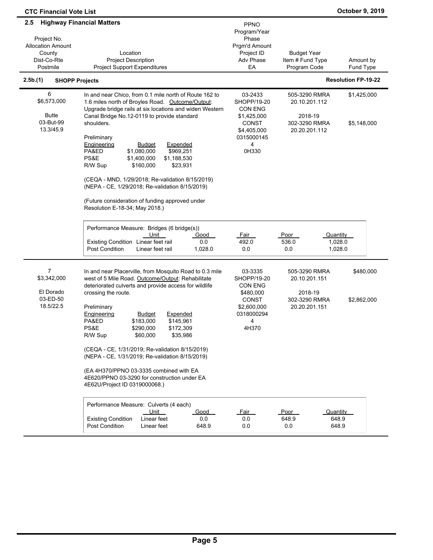| 2.5                                                                          | <b>Highway Financial Matters</b>                                                                                                                                                                                                                                                                                                                                                                                                                                                                                                                                                                                | <b>PPNO</b>                                                                                                      |                                                                             |                            |
|------------------------------------------------------------------------------|-----------------------------------------------------------------------------------------------------------------------------------------------------------------------------------------------------------------------------------------------------------------------------------------------------------------------------------------------------------------------------------------------------------------------------------------------------------------------------------------------------------------------------------------------------------------------------------------------------------------|------------------------------------------------------------------------------------------------------------------|-----------------------------------------------------------------------------|----------------------------|
| Project No.<br><b>Allocation Amount</b><br>County<br>Dist-Co-Rte<br>Postmile | Location<br><b>Project Description</b><br><b>Project Support Expenditures</b>                                                                                                                                                                                                                                                                                                                                                                                                                                                                                                                                   | Program/Year<br>Phase<br>Prgm'd Amount<br>Project ID<br>Adv Phase<br>EA                                          | <b>Budget Year</b><br>Item # Fund Type<br>Program Code                      | Amount by<br>Fund Type     |
| 2.5b.(1)<br><b>SHOPP Projects</b>                                            |                                                                                                                                                                                                                                                                                                                                                                                                                                                                                                                                                                                                                 |                                                                                                                  |                                                                             | <b>Resolution FP-19-22</b> |
| 6<br>\$6,573,000<br><b>Butte</b><br>03-But-99<br>13.3/45.9                   | In and near Chico, from 0.1 mile north of Route 162 to<br>1.6 miles north of Broyles Road. Outcome/Output:<br>Upgrade bridge rails at six locations and widen Western<br>Canal Bridge No.12-0119 to provide standard<br>shoulders.<br>Preliminary<br><b>Engineering</b><br><b>Budget</b><br>Expended<br>PA&ED<br>\$1,080,000<br>\$969,251<br>PS&E<br>\$1,400,000<br>\$1,188,530<br>\$23,931<br>R/W Sup<br>\$160,000<br>(CEQA - MND, 1/29/2018; Re-validation 8/15/2019)<br>(NEPA - CE, 1/29/2018; Re-validation 8/15/2019)<br>(Future consideration of funding approved under<br>Resolution E-18-34; May 2018.) | 03-2433<br>SHOPP/19-20<br><b>CON ENG</b><br>\$1,425,000<br>CONST<br>\$4,405,000<br>0315000145<br>4<br>0H330      | 505-3290 RMRA<br>20.10.201.112<br>2018-19<br>302-3290 RMRA<br>20.20.201.112 | \$1,425,000<br>\$5,148,000 |
|                                                                              | Performance Measure: Bridges (6 bridge(s))<br>Unit<br>Good<br>Existing Condition Linear feet rail<br>0.0<br>Post Condition<br>Linear feet rail<br>1,028.0                                                                                                                                                                                                                                                                                                                                                                                                                                                       | <u>Fair</u><br>492.0<br>0.0                                                                                      | Poor<br>Quantity<br>536.0<br>1,028.0<br>0.0<br>1,028.0                      |                            |
| 7<br>\$3,342,000<br>El Dorado<br>03-ED-50<br>18.5/22.5                       | In and near Placerville, from Mosquito Road to 0.3 mile<br>west of 5 Mile Road. Outcome/Output: Rehabilitate<br>deteriorated culverts and provide access for wildlife<br>crossing the route.<br>Preliminary<br>Engineering<br><b>Budget</b><br>Expended<br>PA&ED<br>\$183,000<br>\$145,961<br>PS&E<br>\$290,000<br>\$172,309<br>R/W Sup<br>\$60,000<br>\$35,986<br>(CEQA - CE, 1/31/2019; Re-validation 8/15/2019)<br>(NEPA - CE, 1/31/2019; Re-validation 8/15/2019)<br>(EA 4H370/PPNO 03-3335 combined with EA<br>4E620/PPNO 03-3290 for construction under EA<br>4E62U/Project ID 0319000068.)               | 03-3335<br>SHOPP/19-20<br><b>CON ENG</b><br>\$480,000<br><b>CONST</b><br>\$2,600,000<br>0318000294<br>4<br>4H370 | 505-3290 RMRA<br>20.10.201.151<br>2018-19<br>302-3290 RMRA<br>20.20.201.151 | \$480,000<br>\$2,862,000   |
|                                                                              | Performance Measure: Culverts (4 each)<br><u>Unit</u><br>Good<br><b>Existing Condition</b><br>Linear feet<br>0.0<br><b>Post Condition</b><br>648.9<br>Linear feet                                                                                                                                                                                                                                                                                                                                                                                                                                               | <u>_Fair_</u><br>0.0<br>0.0                                                                                      | Poor<br>Quantity<br>648.9<br>648.9<br>0.0<br>648.9                          |                            |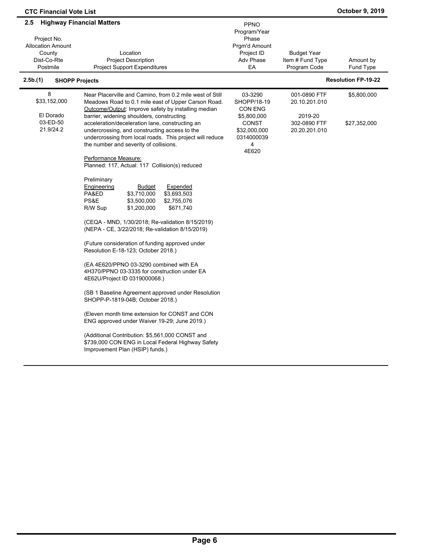| $2.5\,$<br>Project No.<br><b>Allocation Amount</b><br>County<br>Dist-Co-Rte<br>Postmile<br>2.5b.(1)<br><b>SHOPP Projects</b> | <b>Highway Financial Matters</b><br>Location<br><b>Project Description</b><br><b>Project Support Expenditures</b>                       | PPNO<br>Program/Year<br>Phase<br>Prgm'd Amount<br>Project ID<br>Adv Phase<br>EA | <b>Budget Year</b><br>Item # Fund Type<br>Program Code | Amount by<br>Fund Type<br><b>Resolution FP-19-22</b> |
|------------------------------------------------------------------------------------------------------------------------------|-----------------------------------------------------------------------------------------------------------------------------------------|---------------------------------------------------------------------------------|--------------------------------------------------------|------------------------------------------------------|
| 8                                                                                                                            | Near Placerville and Camino, from 0.2 mile west of Still                                                                                | 03-3290                                                                         | 001-0890 FTF                                           | \$5,800,000                                          |
| \$33,152,000                                                                                                                 | Meadows Road to 0.1 mile east of Upper Carson Road.                                                                                     | SHOPP/18-19                                                                     | 20.10.201.010                                          |                                                      |
| El Dorado                                                                                                                    | Outcome/Output: Improve safety by installing median<br>barrier, widening shoulders, constructing                                        | <b>CON ENG</b><br>\$5,800,000                                                   | 2019-20                                                |                                                      |
| 03-ED-50                                                                                                                     | acceleration/deceleration lane, constructing an                                                                                         | <b>CONST</b>                                                                    | 302-0890 FTF                                           | \$27,352,000                                         |
| 21.9/24.2                                                                                                                    | undercrossing, and constructing access to the<br>undercrossing from local roads. This project will reduce                               | \$32,000,000<br>0314000039                                                      | 20.20.201.010                                          |                                                      |
|                                                                                                                              | the number and severity of collisions.                                                                                                  | 4                                                                               |                                                        |                                                      |
|                                                                                                                              | Performance Measure:                                                                                                                    | 4E620                                                                           |                                                        |                                                      |
|                                                                                                                              | Planned: 117, Actual: 117 Collision(s) reduced                                                                                          |                                                                                 |                                                        |                                                      |
|                                                                                                                              | Preliminary                                                                                                                             |                                                                                 |                                                        |                                                      |
|                                                                                                                              | Engineering<br><b>Budget</b><br><b>Expended</b>                                                                                         |                                                                                 |                                                        |                                                      |
|                                                                                                                              | PA&ED<br>\$3,710,000<br>\$3,693,503<br>PS&E<br>\$3,500,000<br>\$2,755,076                                                               |                                                                                 |                                                        |                                                      |
|                                                                                                                              | R/W Sup<br>\$1,200,000<br>\$671,740                                                                                                     |                                                                                 |                                                        |                                                      |
|                                                                                                                              | (CEQA - MND, 1/30/2018; Re-validation 8/15/2019)<br>(NEPA - CE, 3/22/2018; Re-validation 8/15/2019)                                     |                                                                                 |                                                        |                                                      |
|                                                                                                                              | (Future consideration of funding approved under<br>Resolution E-18-123; October 2018.)                                                  |                                                                                 |                                                        |                                                      |
|                                                                                                                              | (EA 4E620/PPNO 03-3290 combined with EA<br>4H370/PPNO 03-3335 for construction under EA<br>4E62U/Project ID 0319000068.)                |                                                                                 |                                                        |                                                      |
|                                                                                                                              | (SB 1 Baseline Agreement approved under Resolution<br>SHOPP-P-1819-04B; October 2018.)                                                  |                                                                                 |                                                        |                                                      |
|                                                                                                                              | (Eleven month time extension for CONST and CON<br>ENG approved under Waiver 19-29; June 2019.)                                          |                                                                                 |                                                        |                                                      |
|                                                                                                                              | (Additional Contribution: \$5,561,000 CONST and<br>\$739,000 CON ENG in Local Federal Highway Safety<br>Improvement Plan (HSIP) funds.) |                                                                                 |                                                        |                                                      |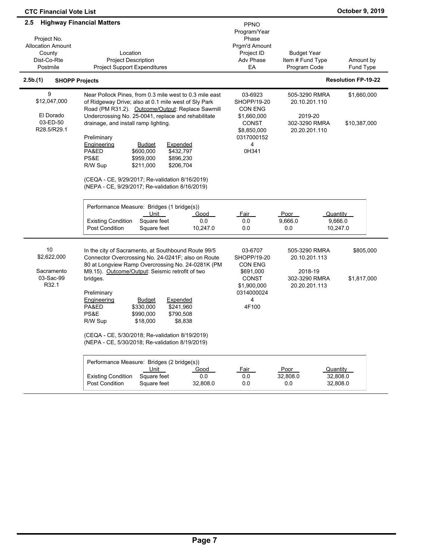| <b>CTC Financial Vote List</b>                                                      |                                                                                                                                                                                                                                                                                                                                                                                                                                                                                                                                               |                                                                                                                    |                                                                             | <b>October 9, 2019</b>           |
|-------------------------------------------------------------------------------------|-----------------------------------------------------------------------------------------------------------------------------------------------------------------------------------------------------------------------------------------------------------------------------------------------------------------------------------------------------------------------------------------------------------------------------------------------------------------------------------------------------------------------------------------------|--------------------------------------------------------------------------------------------------------------------|-----------------------------------------------------------------------------|----------------------------------|
| 2.5<br>Project No.<br><b>Allocation Amount</b><br>County<br>Dist-Co-Rte<br>Postmile | <b>Highway Financial Matters</b><br>Location<br><b>Project Description</b><br><b>Project Support Expenditures</b>                                                                                                                                                                                                                                                                                                                                                                                                                             | PPNO<br>Program/Year<br>Phase<br>Prgm'd Amount<br>Project ID<br>Adv Phase<br>EA                                    | <b>Budget Year</b><br>Item # Fund Type<br>Program Code                      | Amount by<br>Fund Type           |
| 2.5b(1)<br><b>SHOPP Projects</b>                                                    |                                                                                                                                                                                                                                                                                                                                                                                                                                                                                                                                               |                                                                                                                    |                                                                             | <b>Resolution FP-19-22</b>       |
| 9<br>\$12,047,000<br>El Dorado<br>03-ED-50<br>R28.5/R29.1                           | Near Pollock Pines, from 0.3 mile west to 0.3 mile east<br>of Ridgeway Drive; also at 0.1 mile west of Sly Park<br>Road (PM R31.2). Outcome/Output: Replace Sawmill<br>Undercrossing No. 25-0041, replace and rehabilitate<br>drainage, and install ramp lighting.<br>Preliminary<br>Engineering<br><b>Budget</b><br>Expended<br>PA&ED<br>\$600,000<br>\$432,797<br>PS&E<br>\$959,000<br>\$896,230<br>R/W Sup<br>\$206,704<br>\$211,000<br>(CEQA - CE, 9/29/2017; Re-validation 8/16/2019)<br>(NEPA - CE, 9/29/2017; Re-validation 8/16/2019) | 03-6923<br>SHOPP/19-20<br><b>CON ENG</b><br>\$1,660,000<br><b>CONST</b><br>\$8,850,000<br>0317000152<br>4<br>0H341 | 505-3290 RMRA<br>20.10.201.110<br>2019-20<br>302-3290 RMRA<br>20.20.201.110 | \$1,660,000<br>\$10,387,000      |
|                                                                                     | Performance Measure: Bridges (1 bridge(s))<br>Unit<br>Good<br>Square feet<br>0.0<br><b>Existing Condition</b><br><b>Post Condition</b><br>Square feet<br>10,247.0                                                                                                                                                                                                                                                                                                                                                                             | Fair<br>0.0<br>0.0                                                                                                 | Poor<br>9,666.0<br>$0.0\,$                                                  | Quantity<br>9,666.0<br>10,247.0  |
| 10<br>\$2,622,000<br>Sacramento<br>03-Sac-99<br>R32.1                               | In the city of Sacramento, at Southbound Route 99/5<br>Connector Overcrossing No. 24-0241F; also on Route<br>80 at Longview Ramp Overcrossing No. 24-0281K (PM<br>M9.15). Outcome/Output: Seismic retrofit of two<br>bridges.<br>Preliminary<br><b>Engineering</b><br><b>Budget</b><br><b>Expended</b><br>\$330,000<br>\$241,960<br>PA&ED<br>PS&E<br>\$990,000<br>\$790,508<br>\$18,000<br>\$8,838<br>R/W Sup<br>(CEQA - CE, 5/30/2018; Re-validation 8/19/2019)<br>(NEPA - CE, 5/30/2018; Re-validation 8/19/2019)                           | 03-6707<br>SHOPP/19-20<br>CON ENG<br>\$691,000<br><b>CONST</b><br>\$1,900,000<br>0314000024<br>4<br>4F100          | 505-3290 RMRA<br>20.10.201.113<br>2018-19<br>302-3290 RMRA<br>20.20.201.113 | \$805,000<br>\$1,817,000         |
|                                                                                     | Performance Measure: Bridges (2 bridge(s))<br>Unit<br>Good<br><b>Existing Condition</b><br>Square feet<br>0.0<br>Square feet<br>Post Condition<br>32,808.0                                                                                                                                                                                                                                                                                                                                                                                    | <u>Fair</u><br>0.0<br>0.0                                                                                          | Poor<br>32,808.0<br>0.0                                                     | Quantity<br>32,808.0<br>32,808.0 |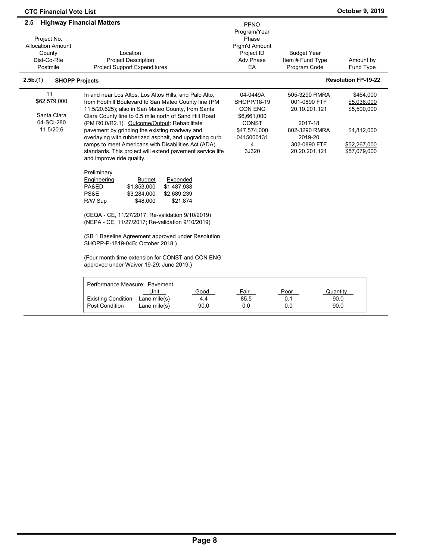| 2.5<br>Project No.<br><b>Allocation Amount</b><br>County<br>Dist-Co-Rte<br>Postmile<br>2.5b.(1)<br><b>SHOPP Projects</b> | <b>Highway Financial Matters</b><br>Location<br><b>Project Description</b><br><b>Project Support Expenditures</b>                                                                                                   | <b>PPNO</b><br>Program/Year<br>Phase<br>Pram'd Amount<br>Project ID<br>Adv Phase<br>EA | <b>Budget Year</b><br>Item # Fund Type<br>Program Code | Amount by<br>Fund Type<br><b>Resolution FP-19-22</b> |
|--------------------------------------------------------------------------------------------------------------------------|---------------------------------------------------------------------------------------------------------------------------------------------------------------------------------------------------------------------|----------------------------------------------------------------------------------------|--------------------------------------------------------|------------------------------------------------------|
| 11                                                                                                                       | In and near Los Altos, Los Altos Hills, and Palo Alto,                                                                                                                                                              | 04-0449A                                                                               | 505-3290 RMRA                                          | \$464,000                                            |
| \$62,579,000<br>Santa Clara<br>04-SCI-280                                                                                | from Foothill Boulevard to San Mateo County line (PM<br>11.5/20.625); also in San Mateo County, from Santa<br>Clara County line to 0.5 mile north of Sand Hill Road<br>(PM R0.0/R2.1). Outcome/Output: Rehabilitate | SHOPP/18-19<br><b>CON ENG</b><br>\$6,661,000<br>CONST                                  | 001-0890 FTF<br>20.10.201.121<br>2017-18               | \$5,036,000<br>\$5,500,000                           |
| 11.5/20.6                                                                                                                | pavement by grinding the existing roadway and<br>overlaying with rubberized asphalt, and upgrading curb                                                                                                             | \$47,574,000<br>0415000131                                                             | 802-3290 RMRA<br>2019-20                               | \$4,812,000                                          |
|                                                                                                                          | ramps to meet Americans with Disabilities Act (ADA)<br>standards. This project will extend pavement service life<br>and improve ride quality.                                                                       | 4<br>3J320                                                                             | 302-0890 FTF<br>20.20.201.121                          | \$52,267,000<br>\$57,079,000                         |
|                                                                                                                          | Preliminary<br>Expended<br>Engineering<br>Budget<br>PA&ED<br>\$1,853,000<br>\$1,487,938<br>PS&E<br>\$3,284,000<br>\$2,689,239<br>\$21,874<br>R/W Sup<br>\$48,000                                                    |                                                                                        |                                                        |                                                      |
|                                                                                                                          | (CEQA - CE, 11/27/2017; Re-validation 9/10/2019)<br>(NEPA - CE, 11/27/2017; Re-validation 9/10/2019)                                                                                                                |                                                                                        |                                                        |                                                      |
|                                                                                                                          | (SB 1 Baseline Agreement approved under Resolution<br>SHOPP-P-1819-04B; October 2018.)                                                                                                                              |                                                                                        |                                                        |                                                      |
|                                                                                                                          | (Four month time extension for CONST and CON ENG<br>approved under Waiver 19-29; June 2019.)                                                                                                                        |                                                                                        |                                                        |                                                      |
|                                                                                                                          | Performance Measure: Pavement<br>Unit<br>Good                                                                                                                                                                       | Fair                                                                                   | Poor                                                   | Quantity                                             |
|                                                                                                                          | <b>Existing Condition</b><br>Lane mile(s)<br>4.4<br><b>Post Condition</b><br>90.0<br>Lane mile(s)                                                                                                                   | 85.5<br>0.0                                                                            | 0.1<br>0.0                                             | 90.0<br>90.0                                         |
|                                                                                                                          |                                                                                                                                                                                                                     |                                                                                        |                                                        |                                                      |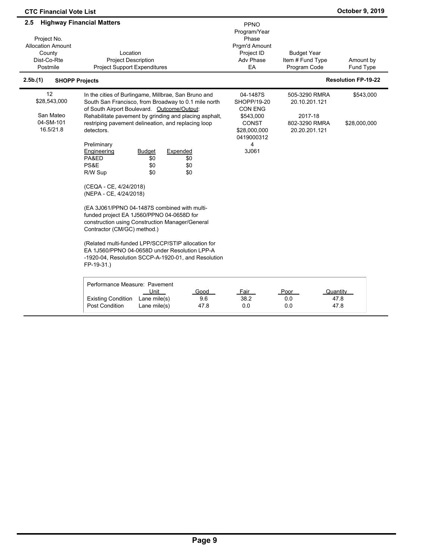| 2.5<br>Project No.<br><b>Allocation Amount</b><br>County<br>Dist-Co-Rte<br>Postmile<br>2.5b.(1)<br><b>SHOPP Projects</b> | <b>Highway Financial Matters</b><br>Location<br><b>Project Description</b><br><b>Project Support Expenditures</b>                                                                                                                                                                                                                                                                                                                                                                                             |                                            |                                       | PPNO<br>Program/Year<br>Phase<br>Pram'd Amount<br>Project ID<br>Adv Phase<br>EA        | <b>Budget Year</b><br>Item # Fund Type<br>Program Code                      | Amount by<br>Fund Type<br><b>Resolution FP-19-22</b> |
|--------------------------------------------------------------------------------------------------------------------------|---------------------------------------------------------------------------------------------------------------------------------------------------------------------------------------------------------------------------------------------------------------------------------------------------------------------------------------------------------------------------------------------------------------------------------------------------------------------------------------------------------------|--------------------------------------------|---------------------------------------|----------------------------------------------------------------------------------------|-----------------------------------------------------------------------------|------------------------------------------------------|
| 12<br>\$28,543,000<br>San Mateo<br>04-SM-101<br>16.5/21.8                                                                | In the cities of Burlingame, Millbrae, San Bruno and<br>South San Francisco, from Broadway to 0.1 mile north<br>of South Airport Boulevard. Outcome/Output:<br>Rehabilitate pavement by grinding and placing asphalt,<br>restriping pavement delineation, and replacing loop<br>detectors.                                                                                                                                                                                                                    |                                            |                                       | 04-1487S<br>SHOPP/19-20<br><b>CON ENG</b><br>\$543,000<br><b>CONST</b><br>\$28,000,000 | 505-3290 RMRA<br>20.10.201.121<br>2017-18<br>802-3290 RMRA<br>20.20.201.121 | \$543,000<br>\$28,000,000                            |
|                                                                                                                          | Preliminary<br><b>Engineering</b><br>PA&ED<br>PS&E<br>R/W Sup<br>(CEQA - CE, 4/24/2018)<br>(NEPA - CE, 4/24/2018)<br>(EA 3J061/PPNO 04-1487S combined with multi-<br>funded project EA 1J560/PPNO 04-0658D for<br>construction using Construction Manager/General<br>Contractor (CM/GC) method.)<br>(Related multi-funded LPP/SCCP/STIP allocation for<br>EA 1J560/PPNO 04-0658D under Resolution LPP-A<br>-1920-04, Resolution SCCP-A-1920-01, and Resolution<br>FP-19-31.)<br>Performance Measure: Pavement | <b>Budget</b><br>\$0<br>\$0<br>\$0<br>Unit | Expended<br>\$0<br>\$0<br>\$0<br>Good | 0419000312<br>$\overline{4}$<br>3J061<br>Fair                                          | Poor                                                                        | Quantity                                             |
|                                                                                                                          | <b>Existing Condition</b><br>Post Condition                                                                                                                                                                                                                                                                                                                                                                                                                                                                   | Lane mile(s)<br>Lane mile(s)               | 9.6<br>47.8                           | 38.2<br>0.0                                                                            | 0.0<br>0.0                                                                  | 47.8<br>47.8                                         |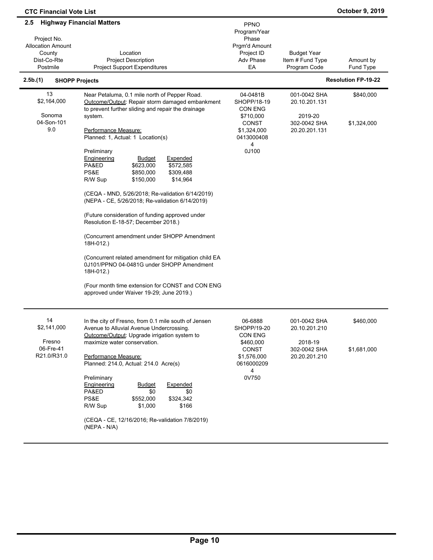| 2.5                                                                          | <b>Highway Financial Matters</b>                                                                                                                                                                                                                                                                                                                                                                                              | <b>PPNO</b>                                                                                              |                                                                           |                            |
|------------------------------------------------------------------------------|-------------------------------------------------------------------------------------------------------------------------------------------------------------------------------------------------------------------------------------------------------------------------------------------------------------------------------------------------------------------------------------------------------------------------------|----------------------------------------------------------------------------------------------------------|---------------------------------------------------------------------------|----------------------------|
| Project No.<br><b>Allocation Amount</b><br>County<br>Dist-Co-Rte<br>Postmile | Location<br><b>Project Description</b><br><b>Project Support Expenditures</b>                                                                                                                                                                                                                                                                                                                                                 | Program/Year<br>Phase<br>Prgm'd Amount<br>Project ID<br>Adv Phase<br>EA                                  | <b>Budget Year</b><br>Item # Fund Type<br>Program Code                    | Amount by<br>Fund Type     |
| 2.5b.(1)                                                                     | <b>SHOPP Projects</b>                                                                                                                                                                                                                                                                                                                                                                                                         |                                                                                                          |                                                                           | <b>Resolution FP-19-22</b> |
| 13<br>\$2,164,000<br>Sonoma<br>04-Son-101<br>9.0                             | Near Petaluma, 0.1 mile north of Pepper Road.<br>Outcome/Output: Repair storm damaged embankment<br>to prevent further sliding and repair the drainage<br>system.<br>Performance Measure:<br>Planned: 1, Actual: 1 Location(s)                                                                                                                                                                                                | 04-0481B<br>SHOPP/18-19<br><b>CON ENG</b><br>\$710,000<br><b>CONST</b><br>\$1,324,000<br>0413000408<br>4 | 001-0042 SHA<br>20.10.201.131<br>2019-20<br>302-0042 SHA<br>20.20.201.131 | \$840,000<br>\$1,324,000   |
|                                                                              | Preliminary<br>Engineering<br>Expended<br><b>Budget</b><br>PA&ED<br>\$623,000<br>\$572,585<br>PS&E<br>\$850,000<br>\$309,488<br>\$14,964<br>R/W Sup<br>\$150,000<br>(CEQA - MND, 5/26/2018; Re-validation 6/14/2019)<br>(NEPA - CE, 5/26/2018; Re-validation 6/14/2019)<br>(Future consideration of funding approved under<br>Resolution E-18-57; December 2018.)<br>(Concurrent amendment under SHOPP Amendment<br>18H-012.) | 0J100                                                                                                    |                                                                           |                            |
|                                                                              | (Concurrent related amendment for mitigation child EA<br>0J101/PPNO 04-0481G under SHOPP Amendment<br>18H-012.)<br>(Four month time extension for CONST and CON ENG<br>approved under Waiver 19-29; June 2019.)                                                                                                                                                                                                               |                                                                                                          |                                                                           |                            |
| 14<br>\$2,141,000<br>Fresno<br>06-Fre-41<br>R21.0/R31.0                      | In the city of Fresno, from 0.1 mile south of Jensen<br>Avenue to Alluvial Avenue Undercrossing.<br>Outcome/Output: Upgrade irrigation system to<br>maximize water conservation.<br>Performance Measure:<br>Planned: 214.0, Actual: 214.0 Acre(s)                                                                                                                                                                             | 06-6888<br>SHOPP/19-20<br>CON ENG<br>\$460,000<br><b>CONST</b><br>\$1,576,000<br>0616000209<br>4         | 001-0042 SHA<br>20.10.201.210<br>2018-19<br>302-0042 SHA<br>20.20.201.210 | \$460,000<br>\$1,681,000   |
|                                                                              | Preliminary<br>Engineering<br>Expended<br><u>Budget</u><br>PA&ED<br>\$0<br>\$0<br>PS&E<br>\$552,000<br>\$324,342<br>R/W Sup<br>\$1,000<br>\$166<br>(CEQA - CE, 12/16/2016; Re-validation 7/8/2019)<br>(NEPA - N/A)                                                                                                                                                                                                            | 0V750                                                                                                    |                                                                           |                            |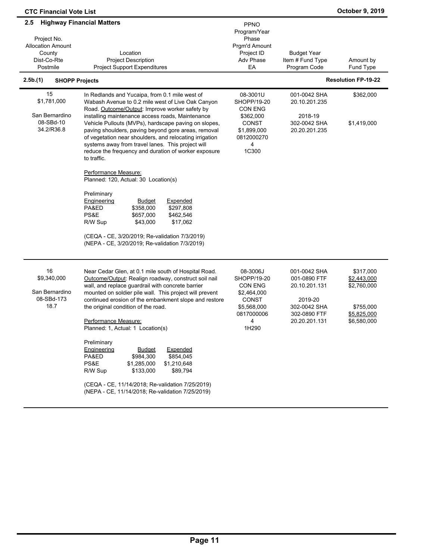| <b>October 9, 2019</b> |
|------------------------|
|------------------------|

| 2.5                              | <b>Highway Financial Matters</b>                                                                         | <b>PPNO</b>                 |                              |                            |
|----------------------------------|----------------------------------------------------------------------------------------------------------|-----------------------------|------------------------------|----------------------------|
| Project No.                      |                                                                                                          | Program/Year<br>Phase       |                              |                            |
| <b>Allocation Amount</b>         |                                                                                                          | Prgm'd Amount               |                              |                            |
| County                           | Location                                                                                                 | Project ID                  | <b>Budget Year</b>           |                            |
| Dist-Co-Rte                      | <b>Project Description</b>                                                                               | <b>Adv Phase</b>            | Item # Fund Type             | Amount by                  |
| Postmile                         | <b>Project Support Expenditures</b>                                                                      | EA                          | Program Code                 | Fund Type                  |
| 2.5b(1)<br><b>SHOPP Projects</b> |                                                                                                          |                             |                              | <b>Resolution FP-19-22</b> |
| 15                               | In Redlands and Yucaipa, from 0.1 mile west of                                                           | 08-3001U                    | 001-0042 SHA                 | \$362,000                  |
| \$1,781,000                      | Wabash Avenue to 0.2 mile west of Live Oak Canyon                                                        | SHOPP/19-20                 | 20.10.201.235                |                            |
| San Bernardino                   | Road. Outcome/Output: Improve worker safety by                                                           | CON ENG                     |                              |                            |
| 08-SBd-10                        | installing maintenance access roads, Maintenance<br>Vehicle Pullouts (MVPs), hardscape paving on slopes, | \$362,000<br><b>CONST</b>   | 2018-19<br>302-0042 SHA      | \$1,419,000                |
| 34.2/R36.8                       | paving shoulders, paving beyond gore areas, removal                                                      | \$1,899,000                 | 20.20.201.235                |                            |
|                                  | of vegetation near shoulders, and relocating irrigation                                                  | 0812000270                  |                              |                            |
|                                  | systems away from travel lanes. This project will                                                        | 4                           |                              |                            |
|                                  | reduce the frequency and duration of worker exposure                                                     | 1C300                       |                              |                            |
|                                  | to traffic.                                                                                              |                             |                              |                            |
|                                  | Performance Measure:                                                                                     |                             |                              |                            |
|                                  | Planned: 120, Actual: 30 Location(s)                                                                     |                             |                              |                            |
|                                  |                                                                                                          |                             |                              |                            |
|                                  | Preliminary<br>Engineering<br>Expended<br>Budget                                                         |                             |                              |                            |
|                                  | PA&ED<br>\$358,000<br>\$297,808                                                                          |                             |                              |                            |
|                                  | PS&E<br>\$657,000<br>\$462,546                                                                           |                             |                              |                            |
|                                  | \$17,062<br>R/W Sup<br>\$43,000                                                                          |                             |                              |                            |
|                                  | (CEQA - CE, 3/20/2019; Re-validation 7/3/2019)                                                           |                             |                              |                            |
|                                  | (NEPA - CE, 3/20/2019; Re-validation 7/3/2019)                                                           |                             |                              |                            |
|                                  |                                                                                                          |                             |                              |                            |
| 16                               | Near Cedar Glen, at 0.1 mile south of Hospital Road.                                                     | 08-3006J                    | 001-0042 SHA                 | \$317,000                  |
| \$9,340,000                      | Outcome/Output: Realign roadway, construct soil nail                                                     | SHOPP/19-20                 | 001-0890 FTF                 | \$2,443,000                |
|                                  | wall, and replace guardrail with concrete barrier                                                        | <b>CON ENG</b>              | 20.10.201.131                | \$2,760,000                |
| San Bernardino                   | mounted on soldier pile wall. This project will prevent                                                  | \$2,464,000                 |                              |                            |
| 08-SBd-173<br>18.7               | continued erosion of the embankment slope and restore                                                    | <b>CONST</b><br>\$5,568,000 | 2019-20                      |                            |
|                                  | the original condition of the road.                                                                      | 0817000006                  | 302-0042 SHA<br>302-0890 FTF | \$755,000<br>\$5,825,000   |
|                                  | Performance Measure:                                                                                     | 4                           | 20.20.201.131                | \$6,580,000                |
|                                  | Planned: 1, Actual: 1 Location(s)                                                                        | 1H290                       |                              |                            |
|                                  | Preliminary                                                                                              |                             |                              |                            |
|                                  | Expended<br>Engineering<br><b>Budget</b>                                                                 |                             |                              |                            |
|                                  | PA&ED<br>\$984,300<br>\$854,045                                                                          |                             |                              |                            |
|                                  | PS&E<br>\$1,285,000<br>\$1,210,648                                                                       |                             |                              |                            |
|                                  | R/W Sup<br>\$133,000<br>\$89,794                                                                         |                             |                              |                            |
|                                  | (CEQA - CE, 11/14/2018; Re-validation 7/25/2019)                                                         |                             |                              |                            |
|                                  | (NEPA - CE, 11/14/2018; Re-validation 7/25/2019)                                                         |                             |                              |                            |